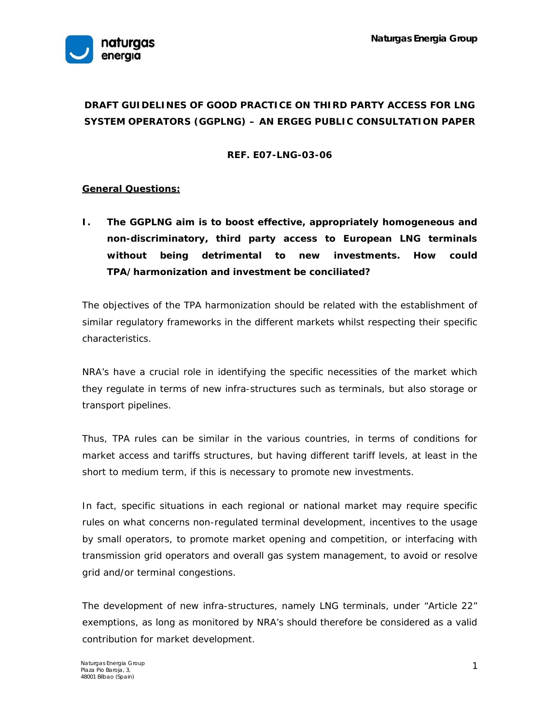

# **DRAFT GUIDELINES OF GOOD PRACTICE ON THIRD PARTY ACCESS FOR LNG SYSTEM OPERATORS (GGPLNG) – AN ERGEG PUBLIC CONSULTATION PAPER**

## **REF. E07-LNG-03-06**

# **General Questions:**

**I. The GGPLNG aim is to boost effective, appropriately homogeneous and non-discriminatory, third party access to European LNG terminals without being detrimental to new investments. How could TPA/harmonization and investment be conciliated?** 

The objectives of the TPA harmonization should be related with the establishment of similar regulatory frameworks in the different markets whilst respecting their specific characteristics.

NRA's have a crucial role in identifying the specific necessities of the market which they regulate in terms of new infra-structures such as terminals, but also storage or transport pipelines.

Thus, TPA rules can be similar in the various countries, in terms of conditions for market access and tariffs structures, but having different tariff levels, at least in the short to medium term, if this is necessary to promote new investments.

In fact, specific situations in each regional or national market may require specific rules on what concerns non-regulated terminal development, incentives to the usage by small operators, to promote market opening and competition, or interfacing with transmission grid operators and overall gas system management, to avoid or resolve grid and/or terminal congestions.

The development of new infra-structures, namely LNG terminals, under "Article 22" exemptions, as long as monitored by NRA's should therefore be considered as a valid contribution for market development.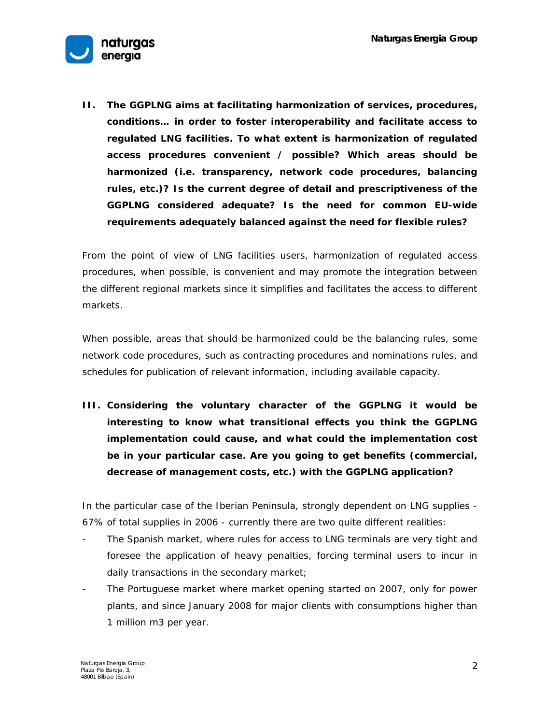

**II. The GGPLNG aims at facilitating harmonization of services, procedures, conditions… in order to foster interoperability and facilitate access to regulated LNG facilities. To what extent is harmonization of regulated access procedures convenient / possible? Which areas should be harmonized (i.e. transparency, network code procedures, balancing rules, etc.)? Is the current degree of detail and prescriptiveness of the GGPLNG considered adequate? Is the need for common EU-wide requirements adequately balanced against the need for flexible rules?** 

From the point of view of LNG facilities users, harmonization of regulated access procedures, when possible, is convenient and may promote the integration between the different regional markets since it simplifies and facilitates the access to different markets.

When possible, areas that should be harmonized could be the balancing rules, some network code procedures, such as contracting procedures and nominations rules, and schedules for publication of relevant information, including available capacity.

**III. Considering the voluntary character of the GGPLNG it would be interesting to know what transitional effects you think the GGPLNG implementation could cause, and what could the implementation cost be in your particular case. Are you going to get benefits (commercial, decrease of management costs, etc.) with the GGPLNG application?** 

In the particular case of the Iberian Peninsula, strongly dependent on LNG supplies - 67% of total supplies in 2006 - currently there are two quite different realities:

- The Spanish market, where rules for access to LNG terminals are very tight and foresee the application of heavy penalties, forcing terminal users to incur in daily transactions in the secondary market;
- The Portuguese market where market opening started on 2007, only for power plants, and since January 2008 for major clients with consumptions higher than 1 million m3 per year.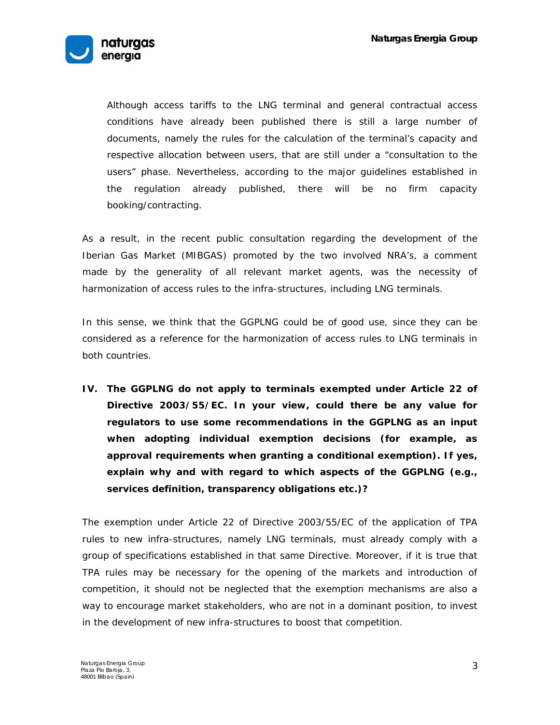

 Although access tariffs to the LNG terminal and general contractual access conditions have already been published there is still a large number of documents, namely the rules for the calculation of the terminal's capacity and respective allocation between users, that are still under a "consultation to the users" phase. Nevertheless, according to the major guidelines established in the regulation already published, there will be no firm capacity booking/contracting.

As a result, in the recent public consultation regarding the development of the Iberian Gas Market (MIBGAS) promoted by the two involved NRA's, a comment made by the generality of all relevant market agents, was the necessity of harmonization of access rules to the infra-structures, including LNG terminals.

In this sense, we think that the GGPLNG could be of good use, since they can be considered as a reference for the harmonization of access rules to LNG terminals in both countries.

**IV. The GGPLNG do not apply to terminals exempted under Article 22 of Directive 2003/55/EC. In your view, could there be any value for regulators to use some recommendations in the GGPLNG as an input when adopting individual exemption decisions (for example, as approval requirements when granting a conditional exemption). If yes, explain why and with regard to which aspects of the GGPLNG (e.g., services definition, transparency obligations etc.)?** 

The exemption under Article 22 of Directive 2003/55/EC of the application of TPA rules to new infra-structures, namely LNG terminals, must already comply with a group of specifications established in that same Directive. Moreover, if it is true that TPA rules may be necessary for the opening of the markets and introduction of competition, it should not be neglected that the exemption mechanisms are also a way to encourage market stakeholders, who are not in a dominant position, to invest in the development of new infra-structures to boost that competition.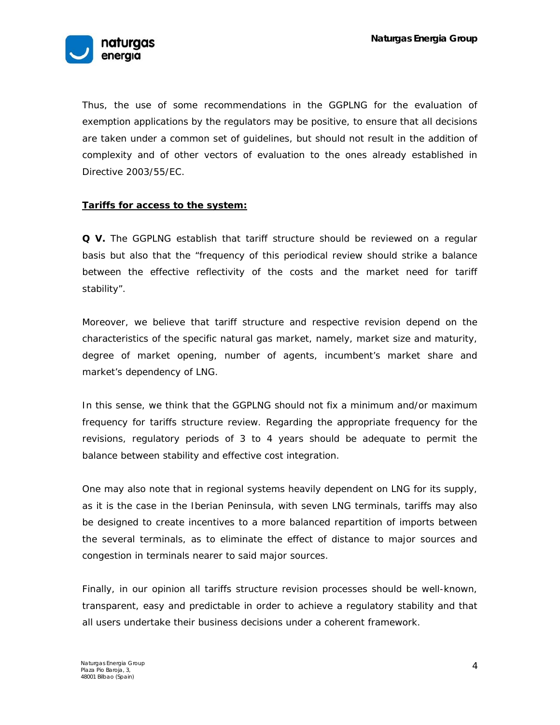

Thus, the use of some recommendations in the GGPLNG for the evaluation of exemption applications by the regulators may be positive, to ensure that all decisions are taken under a common set of guidelines, but should not result in the addition of complexity and of other vectors of evaluation to the ones already established in Directive 2003/55/EC.

#### **Tariffs for access to the system:**

**Q V.** The GGPLNG establish that tariff structure should be reviewed on a regular basis but also that the "frequency of this periodical review should strike a balance between the effective reflectivity of the costs and the market need for tariff stability".

Moreover, we believe that tariff structure and respective revision depend on the characteristics of the specific natural gas market, namely, market size and maturity, degree of market opening, number of agents, incumbent's market share and market's dependency of LNG.

In this sense, we think that the GGPLNG should not fix a minimum and/or maximum frequency for tariffs structure review. Regarding the appropriate frequency for the revisions, regulatory periods of 3 to 4 years should be adequate to permit the balance between stability and effective cost integration.

One may also note that in regional systems heavily dependent on LNG for its supply, as it is the case in the Iberian Peninsula, with seven LNG terminals, tariffs may also be designed to create incentives to a more balanced repartition of imports between the several terminals, as to eliminate the effect of distance to major sources and congestion in terminals nearer to said major sources.

Finally, in our opinion all tariffs structure revision processes should be well-known, transparent, easy and predictable in order to achieve a regulatory stability and that all users undertake their business decisions under a coherent framework.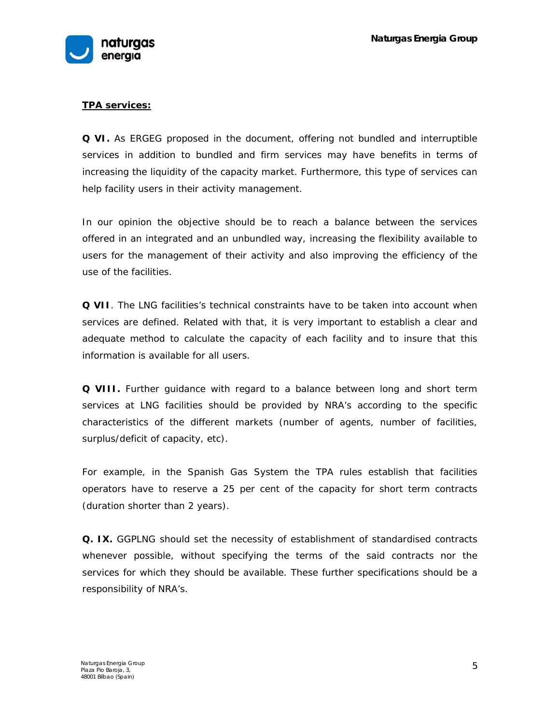

# **TPA services:**

**Q VI.** As ERGEG proposed in the document, offering not bundled and interruptible services in addition to bundled and firm services may have benefits in terms of increasing the liquidity of the capacity market. Furthermore, this type of services can help facility users in their activity management.

In our opinion the objective should be to reach a balance between the services offered in an integrated and an unbundled way, increasing the flexibility available to users for the management of their activity and also improving the efficiency of the use of the facilities.

**Q VII**. The LNG facilities's technical constraints have to be taken into account when services are defined. Related with that, it is very important to establish a clear and adequate method to calculate the capacity of each facility and to insure that this information is available for all users.

**Q VIII.** Further guidance with regard to a balance between long and short term services at LNG facilities should be provided by NRA's according to the specific characteristics of the different markets (number of agents, number of facilities, surplus/deficit of capacity, etc).

For example, in the Spanish Gas System the TPA rules establish that facilities operators have to reserve a 25 per cent of the capacity for short term contracts (duration shorter than 2 years).

**Q. IX.** GGPLNG should set the necessity of establishment of standardised contracts whenever possible, without specifying the terms of the said contracts nor the services for which they should be available. These further specifications should be a responsibility of NRA's.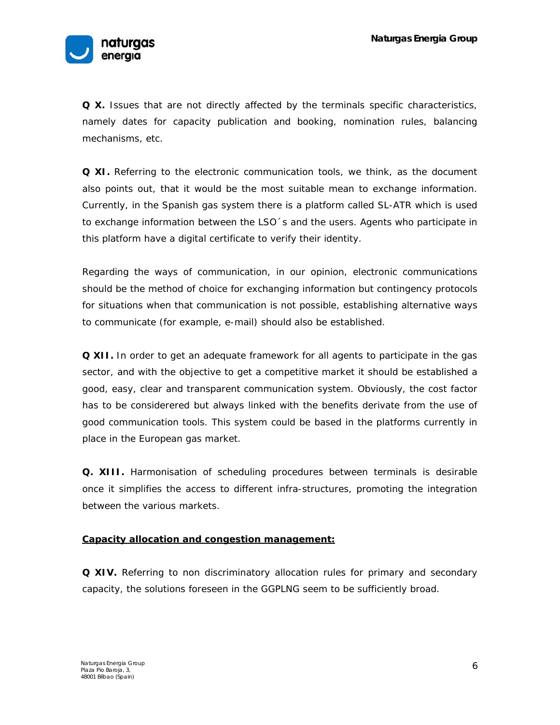

**Q X.** Issues that are not directly affected by the terminals specific characteristics, namely dates for capacity publication and booking, nomination rules, balancing mechanisms, etc.

**Q XI.** Referring to the electronic communication tools, we think, as the document also points out, that it would be the most suitable mean to exchange information. Currently, in the Spanish gas system there is a platform called SL-ATR which is used to exchange information between the LSO´s and the users. Agents who participate in this platform have a digital certificate to verify their identity.

Regarding the ways of communication, in our opinion, electronic communications should be the method of choice for exchanging information but contingency protocols for situations when that communication is not possible, establishing alternative ways to communicate (for example, e-mail) should also be established.

**Q XII.** In order to get an adequate framework for all agents to participate in the gas sector, and with the objective to get a competitive market it should be established a good, easy, clear and transparent communication system. Obviously, the cost factor has to be considerered but always linked with the benefits derivate from the use of good communication tools. This system could be based in the platforms currently in place in the European gas market.

**Q. XIII.** Harmonisation of scheduling procedures between terminals is desirable once it simplifies the access to different infra-structures, promoting the integration between the various markets.

## **Capacity allocation and congestion management:**

**Q XIV.** Referring to non discriminatory allocation rules for primary and secondary capacity, the solutions foreseen in the GGPLNG seem to be sufficiently broad.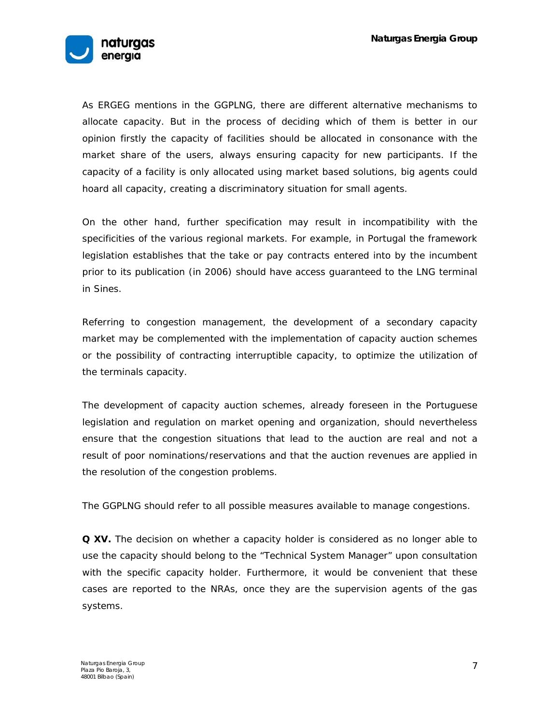

As ERGEG mentions in the GGPLNG, there are different alternative mechanisms to allocate capacity. But in the process of deciding which of them is better in our opinion firstly the capacity of facilities should be allocated in consonance with the market share of the users, always ensuring capacity for new participants. If the capacity of a facility is only allocated using market based solutions, big agents could hoard all capacity, creating a discriminatory situation for small agents.

On the other hand, further specification may result in incompatibility with the specificities of the various regional markets. For example, in Portugal the framework legislation establishes that the take or pay contracts entered into by the incumbent prior to its publication (in 2006) should have access guaranteed to the LNG terminal in Sines.

Referring to congestion management, the development of a secondary capacity market may be complemented with the implementation of capacity auction schemes or the possibility of contracting interruptible capacity, to optimize the utilization of the terminals capacity.

The development of capacity auction schemes, already foreseen in the Portuguese legislation and regulation on market opening and organization, should nevertheless ensure that the congestion situations that lead to the auction are real and not a result of poor nominations/reservations and that the auction revenues are applied in the resolution of the congestion problems.

The GGPLNG should refer to all possible measures available to manage congestions.

**Q XV.** The decision on whether a capacity holder is considered as no longer able to use the capacity should belong to the "Technical System Manager" upon consultation with the specific capacity holder. Furthermore, it would be convenient that these cases are reported to the NRAs, once they are the supervision agents of the gas systems.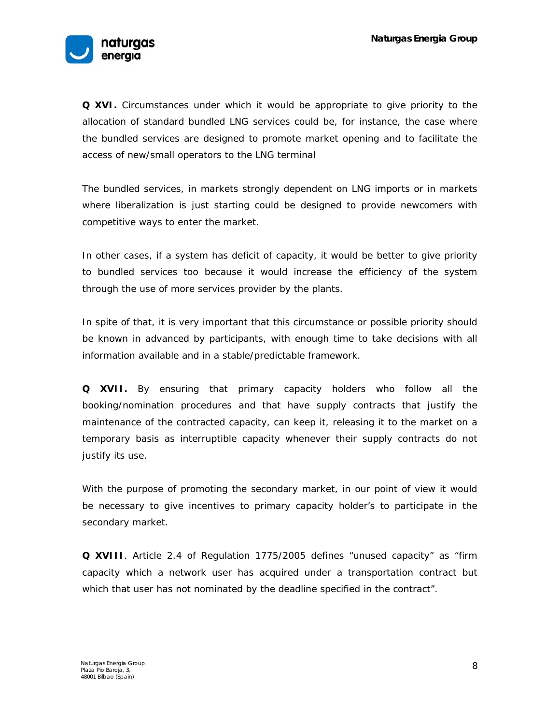

**Q XVI.** Circumstances under which it would be appropriate to give priority to the allocation of standard bundled LNG services could be, for instance, the case where the bundled services are designed to promote market opening and to facilitate the access of new/small operators to the LNG terminal

The bundled services, in markets strongly dependent on LNG imports or in markets where liberalization is just starting could be designed to provide newcomers with competitive ways to enter the market.

In other cases, if a system has deficit of capacity, it would be better to give priority to bundled services too because it would increase the efficiency of the system through the use of more services provider by the plants.

In spite of that, it is very important that this circumstance or possible priority should be known in advanced by participants, with enough time to take decisions with all information available and in a stable/predictable framework.

**Q XVII.** By ensuring that primary capacity holders who follow all the booking/nomination procedures and that have supply contracts that justify the maintenance of the contracted capacity, can keep it, releasing it to the market on a temporary basis as interruptible capacity whenever their supply contracts do not justify its use.

With the purpose of promoting the secondary market, in our point of view it would be necessary to give incentives to primary capacity holder's to participate in the secondary market.

**Q XVIII**. Article 2.4 of Regulation 1775/2005 defines "unused capacity" as "firm capacity which a network user has acquired under a transportation contract but which that user has not nominated by the deadline specified in the contract".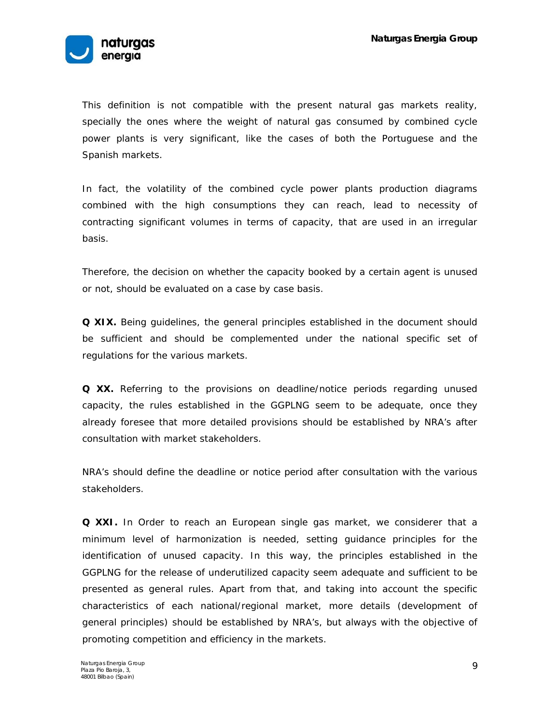

This definition is not compatible with the present natural gas markets reality, specially the ones where the weight of natural gas consumed by combined cycle power plants is very significant, like the cases of both the Portuguese and the Spanish markets.

In fact, the volatility of the combined cycle power plants production diagrams combined with the high consumptions they can reach, lead to necessity of contracting significant volumes in terms of capacity, that are used in an irregular basis.

Therefore, the decision on whether the capacity booked by a certain agent is unused or not, should be evaluated on a case by case basis.

**Q XIX.** Being guidelines, the general principles established in the document should be sufficient and should be complemented under the national specific set of regulations for the various markets.

**Q XX.** Referring to the provisions on deadline/notice periods regarding unused capacity, the rules established in the GGPLNG seem to be adequate, once they already foresee that more detailed provisions should be established by NRA's after consultation with market stakeholders.

NRA's should define the deadline or notice period after consultation with the various stakeholders.

**Q XXI.** In Order to reach an European single gas market, we considerer that a minimum level of harmonization is needed, setting guidance principles for the identification of unused capacity. In this way, the principles established in the GGPLNG for the release of underutilized capacity seem adequate and sufficient to be presented as general rules. Apart from that, and taking into account the specific characteristics of each national/regional market, more details (development of general principles) should be established by NRA's, but always with the objective of promoting competition and efficiency in the markets.